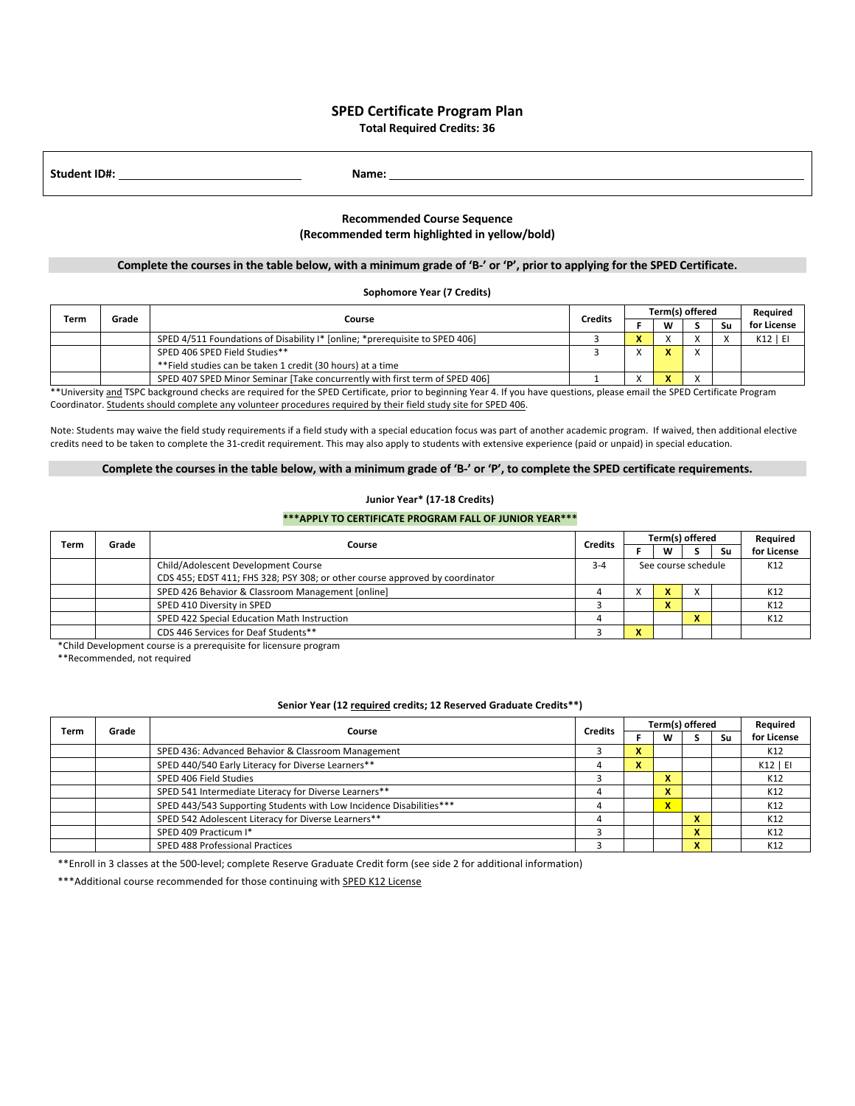## **SPED Certificate Program Plan Total Required Credits: 36**

**Student ID#: Name:** 

# **Recommended Course Sequence (Recommended term highlighted in yellow/bold)**

### **Complete the courses in the table below, with a minimum grade of 'B-' or 'P', prior to applying for the SPED Certificate.**

## **Sophomore Year (7 Credits)**

| Term | Grade | Course                                                                      | <b>Credits</b> | Term(s) offered                          |   |  |    | Reauired    |
|------|-------|-----------------------------------------------------------------------------|----------------|------------------------------------------|---|--|----|-------------|
|      |       |                                                                             |                |                                          | W |  | Sυ | for License |
|      |       | SPED 4/511 Foundations of Disability I* [online: *prerequisite to SPED 406] |                | $\overline{\phantom{a}}$<br>$\mathbf{r}$ |   |  |    | $K12$   EI  |
|      |       | SPED 406 SPED Field Studies**                                               |                |                                          |   |  |    |             |
|      |       | **Field studies can be taken 1 credit (30 hours) at a time                  |                |                                          |   |  |    |             |
|      |       | SPED 407 SPED Minor Seminar [Take concurrently with first term of SPED 406] |                |                                          |   |  |    |             |

\*\* University and TSPC background checks are required for the SPED Certificate, prior to beginning Year 4. If you have questions, please email the SPED Certificate Program Coordinator. Students should complete any volunteer procedures required by their field study site for SPED 406.

Note: Students may waive the field study requirements if a field study with a special education focus was part of another academic program. If waived, then additional elective credits need to be taken to complete the 31-credit requirement. This may also apply to students with extensive experience (paid or unpaid) in special education.

### **Complete the courses in the table below, with a minimum grade of 'B-' or 'P', to complete the SPED certificate requirements.**

### **Junior Year\* (17-18 Credits)**

#### **\*\*\*APPLY TO CERTIFICATE PROGRAM FALL OF JUNIOR YEAR\*\*\***

| Term |  | Grade<br>Course                                                              | <b>Credits</b> | Term(s) offered     |   |  |     | Required    |
|------|--|------------------------------------------------------------------------------|----------------|---------------------|---|--|-----|-------------|
|      |  |                                                                              |                |                     | W |  | Su  | for License |
|      |  | Child/Adolescent Development Course                                          | $3 - 4$        | See course schedule |   |  | K12 |             |
|      |  | CDS 455; EDST 411; FHS 328; PSY 308; or other course approved by coordinator |                |                     |   |  |     |             |
|      |  | SPED 426 Behavior & Classroom Management [online]                            |                |                     |   |  | K12 |             |
|      |  | SPED 410 Diversity in SPED                                                   |                |                     |   |  |     | K12         |
|      |  | SPED 422 Special Education Math Instruction                                  |                |                     |   |  |     | K12         |
|      |  | CDS 446 Services for Deaf Students**                                         |                | $\overline{ }$      |   |  |     |             |

\*Child Development course is a prerequisite for licensure program

\*\*Recommended, not required

## **Senior Year (12 required credits; 12 Reserved Graduate Credits\*\*)**

| Term | Grade | Course                                                              | <b>Credits</b> | Term(s) offered |                          |                               |    | Required    |
|------|-------|---------------------------------------------------------------------|----------------|-----------------|--------------------------|-------------------------------|----|-------------|
|      |       |                                                                     |                |                 | w                        |                               | Su | for License |
|      |       | SPED 436: Advanced Behavior & Classroom Management                  |                | ^               |                          |                               |    | K12         |
|      |       | SPED 440/540 Early Literacy for Diverse Learners**                  |                | x               |                          |                               |    | K12   EI    |
|      |       | SPED 406 Field Studies                                              |                |                 | ~                        |                               |    | K12         |
|      |       | SPED 541 Intermediate Literacy for Diverse Learners**               |                |                 |                          |                               |    | K12         |
|      |       | SPED 443/543 Supporting Students with Low Incidence Disabilities*** |                |                 | $\overline{\phantom{a}}$ |                               |    | K12         |
|      |       | SPED 542 Adolescent Literacy for Diverse Learners**                 |                |                 |                          | $\mathbf{v}$                  |    | K12         |
|      |       | SPED 409 Practicum I*                                               |                |                 |                          | v<br>$\overline{\phantom{a}}$ |    | K12         |
|      |       | SPED 488 Professional Practices                                     |                |                 |                          | $\sim$                        |    | K12         |

\*\*Enroll in 3 classes at the 500-level; complete Reserve Graduate Credit form (see side 2 for additional information)

\*\*\*Additional course recommended for those continuing with SPED K12 License